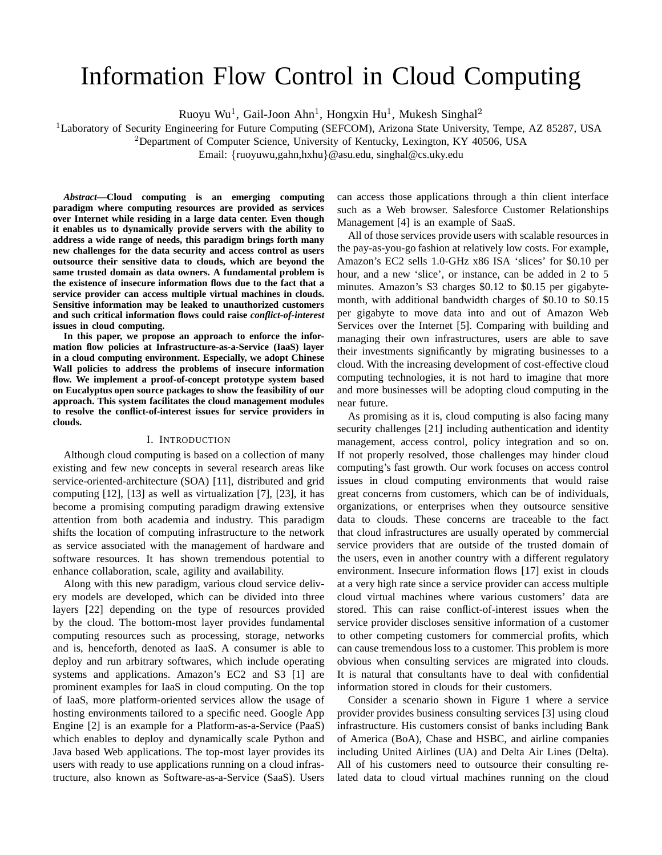# Information Flow Control in Cloud Computing

Ruoyu Wu<sup>1</sup>, Gail-Joon Ahn<sup>1</sup>, Hongxin Hu<sup>1</sup>, Mukesh Singhal<sup>2</sup>

<sup>1</sup>Laboratory of Security Engineering for Future Computing (SEFCOM), Arizona State University, Tempe, AZ 85287, USA

 $2$ Department of Computer Science, University of Kentucky, Lexington, KY 40506, USA

Email: {ruoyuwu,gahn,hxhu}@asu.edu, singhal@cs.uky.edu

*Abstract***—Cloud computing is an emerging computing paradigm where computing resources are provided as services over Internet while residing in a large data center. Even though it enables us to dynamically provide servers with the ability to address a wide range of needs, this paradigm brings forth many new challenges for the data security and access control as users outsource their sensitive data to clouds, which are beyond the same trusted domain as data owners. A fundamental problem is the existence of insecure information flows due to the fact that a service provider can access multiple virtual machines in clouds. Sensitive information may be leaked to unauthorized customers and such critical information flows could raise** *conflict-of-interest* **issues in cloud computing.**

**In this paper, we propose an approach to enforce the information flow policies at Infrastructure-as-a-Service (IaaS) layer in a cloud computing environment. Especially, we adopt Chinese Wall policies to address the problems of insecure information flow. We implement a proof-of-concept prototype system based on Eucalyptus open source packages to show the feasibility of our approach. This system facilitates the cloud management modules to resolve the conflict-of-interest issues for service providers in clouds.**

## I. INTRODUCTION

Although cloud computing is based on a collection of many existing and few new concepts in several research areas like service-oriented-architecture (SOA) [11], distributed and grid computing [12], [13] as well as virtualization [7], [23], it has become a promising computing paradigm drawing extensive attention from both academia and industry. This paradigm shifts the location of computing infrastructure to the network as service associated with the management of hardware and software resources. It has shown tremendous potential to enhance collaboration, scale, agility and availability.

Along with this new paradigm, various cloud service delivery models are developed, which can be divided into three layers [22] depending on the type of resources provided by the cloud. The bottom-most layer provides fundamental computing resources such as processing, storage, networks and is, henceforth, denoted as IaaS. A consumer is able to deploy and run arbitrary softwares, which include operating systems and applications. Amazon's EC2 and S3 [1] are prominent examples for IaaS in cloud computing. On the top of IaaS, more platform-oriented services allow the usage of hosting environments tailored to a specific need. Google App Engine [2] is an example for a Platform-as-a-Service (PaaS) which enables to deploy and dynamically scale Python and Java based Web applications. The top-most layer provides its users with ready to use applications running on a cloud infrastructure, also known as Software-as-a-Service (SaaS). Users

can access those applications through a thin client interface such as a Web browser. Salesforce Customer Relationships Management [4] is an example of SaaS.

All of those services provide users with scalable resources in the pay-as-you-go fashion at relatively low costs. For example, Amazon's EC2 sells 1.0-GHz x86 ISA 'slices' for \$0.10 per hour, and a new 'slice', or instance, can be added in 2 to 5 minutes. Amazon's S3 charges \$0.12 to \$0.15 per gigabytemonth, with additional bandwidth charges of \$0.10 to \$0.15 per gigabyte to move data into and out of Amazon Web Services over the Internet [5]. Comparing with building and managing their own infrastructures, users are able to save their investments significantly by migrating businesses to a cloud. With the increasing development of cost-effective cloud computing technologies, it is not hard to imagine that more and more businesses will be adopting cloud computing in the near future.

As promising as it is, cloud computing is also facing many security challenges [21] including authentication and identity management, access control, policy integration and so on. If not properly resolved, those challenges may hinder cloud computing's fast growth. Our work focuses on access control issues in cloud computing environments that would raise great concerns from customers, which can be of individuals, organizations, or enterprises when they outsource sensitive data to clouds. These concerns are traceable to the fact that cloud infrastructures are usually operated by commercial service providers that are outside of the trusted domain of the users, even in another country with a different regulatory environment. Insecure information flows [17] exist in clouds at a very high rate since a service provider can access multiple cloud virtual machines where various customers' data are stored. This can raise conflict-of-interest issues when the service provider discloses sensitive information of a customer to other competing customers for commercial profits, which can cause tremendous loss to a customer. This problem is more obvious when consulting services are migrated into clouds. It is natural that consultants have to deal with confidential information stored in clouds for their customers.

Consider a scenario shown in Figure 1 where a service provider provides business consulting services [3] using cloud infrastructure. His customers consist of banks including Bank of America (BoA), Chase and HSBC, and airline companies including United Airlines (UA) and Delta Air Lines (Delta). All of his customers need to outsource their consulting related data to cloud virtual machines running on the cloud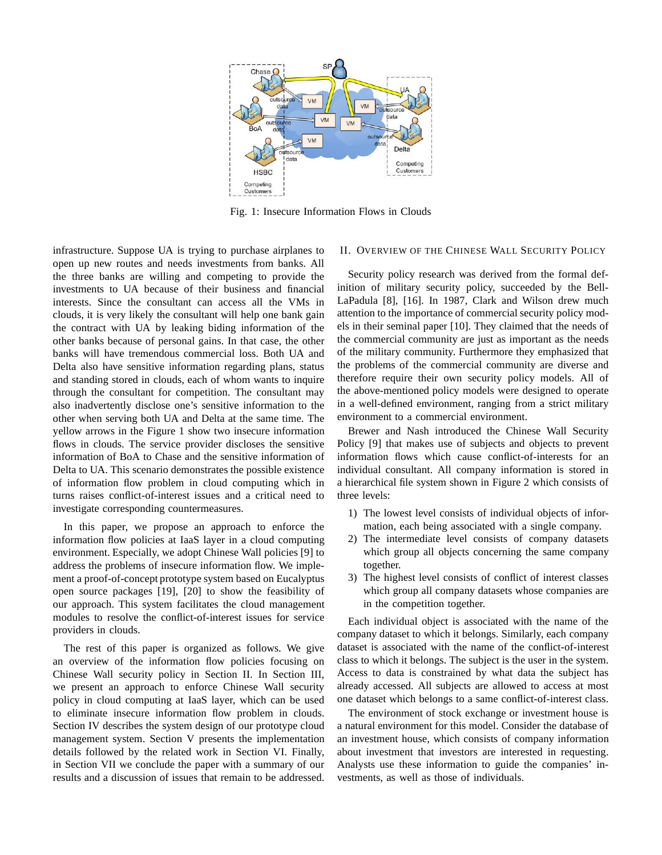

Fig. 1: Insecure Information Flows in Clouds

infrastructure. Suppose UA is trying to purchase airplanes to open up new routes and needs investments from banks. All the three banks are willing and competing to provide the investments to UA because of their business and financial interests. Since the consultant can access all the VMs in clouds, it is very likely the consultant will help one bank gain the contract with UA by leaking biding information of the other banks because of personal gains. In that case, the other banks will have tremendous commercial loss. Both UA and Delta also have sensitive information regarding plans, status and standing stored in clouds, each of whom wants to inquire through the consultant for competition. The consultant may also inadvertently disclose one's sensitive information to the other when serving both UA and Delta at the same time. The yellow arrows in the Figure 1 show two insecure information flows in clouds. The service provider discloses the sensitive information of BoA to Chase and the sensitive information of Delta to UA. This scenario demonstrates the possible existence of information flow problem in cloud computing which in turns raises conflict-of-interest issues and a critical need to investigate corresponding countermeasures.

In this paper, we propose an approach to enforce the information flow policies at IaaS layer in a cloud computing environment. Especially, we adopt Chinese Wall policies [9] to address the problems of insecure information flow. We implement a proof-of-concept prototype system based on Eucalyptus open source packages [19], [20] to show the feasibility of our approach. This system facilitates the cloud management modules to resolve the conflict-of-interest issues for service providers in clouds.

The rest of this paper is organized as follows. We give an overview of the information flow policies focusing on Chinese Wall security policy in Section II. In Section III, we present an approach to enforce Chinese Wall security policy in cloud computing at IaaS layer, which can be used to eliminate insecure information flow problem in clouds. Section IV describes the system design of our prototype cloud management system. Section V presents the implementation details followed by the related work in Section VI. Finally, in Section VII we conclude the paper with a summary of our results and a discussion of issues that remain to be addressed.

## II. OVERVIEW OF THE CHINESE WALL SECURITY POLICY

Security policy research was derived from the formal definition of military security policy, succeeded by the Bell-LaPadula [8], [16]. In 1987, Clark and Wilson drew much attention to the importance of commercial security policy models in their seminal paper [10]. They claimed that the needs of the commercial community are just as important as the needs of the military community. Furthermore they emphasized that the problems of the commercial community are diverse and therefore require their own security policy models. All of the above-mentioned policy models were designed to operate in a well-defined environment, ranging from a strict military environment to a commercial environment.

Brewer and Nash introduced the Chinese Wall Security Policy [9] that makes use of subjects and objects to prevent information flows which cause conflict-of-interests for an individual consultant. All company information is stored in a hierarchical file system shown in Figure 2 which consists of three levels:

- 1) The lowest level consists of individual objects of information, each being associated with a single company.
- 2) The intermediate level consists of company datasets which group all objects concerning the same company together.
- 3) The highest level consists of conflict of interest classes which group all company datasets whose companies are in the competition together.

Each individual object is associated with the name of the company dataset to which it belongs. Similarly, each company dataset is associated with the name of the conflict-of-interest class to which it belongs. The subject is the user in the system. Access to data is constrained by what data the subject has already accessed. All subjects are allowed to access at most one dataset which belongs to a same conflict-of-interest class.

The environment of stock exchange or investment house is a natural environment for this model. Consider the database of an investment house, which consists of company information about investment that investors are interested in requesting. Analysts use these information to guide the companies' investments, as well as those of individuals.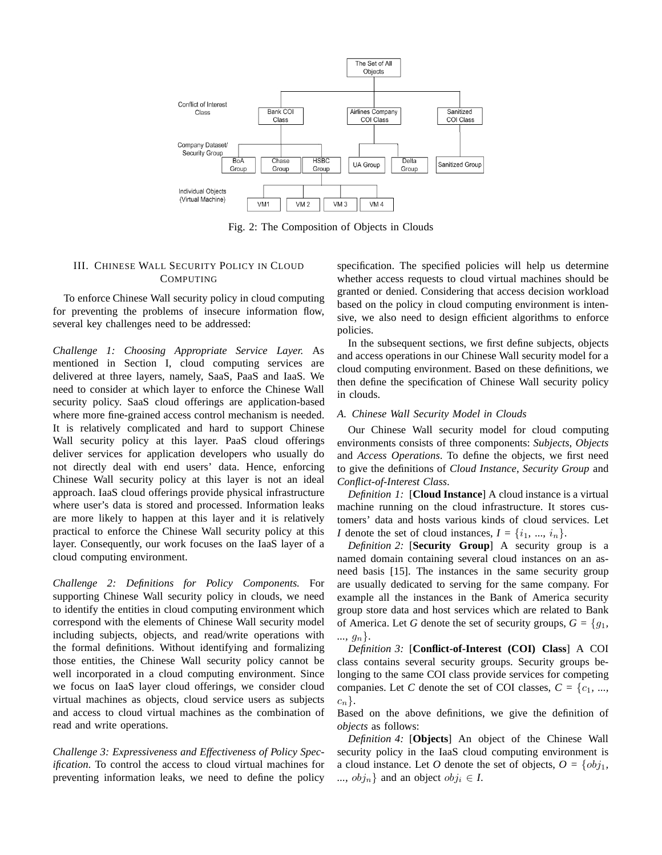

Fig. 2: The Composition of Objects in Clouds

# III. CHINESE WALL SECURITY POLICY IN CLOUD COMPUTING

To enforce Chinese Wall security policy in cloud computing for preventing the problems of insecure information flow, several key challenges need to be addressed:

*Challenge 1: Choosing Appropriate Service Layer.* As mentioned in Section I, cloud computing services are delivered at three layers, namely, SaaS, PaaS and IaaS. We need to consider at which layer to enforce the Chinese Wall security policy. SaaS cloud offerings are application-based where more fine-grained access control mechanism is needed. It is relatively complicated and hard to support Chinese Wall security policy at this layer. PaaS cloud offerings deliver services for application developers who usually do not directly deal with end users' data. Hence, enforcing Chinese Wall security policy at this layer is not an ideal approach. IaaS cloud offerings provide physical infrastructure where user's data is stored and processed. Information leaks are more likely to happen at this layer and it is relatively practical to enforce the Chinese Wall security policy at this layer. Consequently, our work focuses on the IaaS layer of a cloud computing environment.

*Challenge 2: Definitions for Policy Components.* For supporting Chinese Wall security policy in clouds, we need to identify the entities in cloud computing environment which correspond with the elements of Chinese Wall security model including subjects, objects, and read/write operations with the formal definitions. Without identifying and formalizing those entities, the Chinese Wall security policy cannot be well incorporated in a cloud computing environment. Since we focus on IaaS layer cloud offerings, we consider cloud virtual machines as objects, cloud service users as subjects and access to cloud virtual machines as the combination of read and write operations.

*Challenge 3: Expressiveness and Effectiveness of Policy Specification.* To control the access to cloud virtual machines for preventing information leaks, we need to define the policy

specification. The specified policies will help us determine whether access requests to cloud virtual machines should be granted or denied. Considering that access decision workload based on the policy in cloud computing environment is intensive, we also need to design efficient algorithms to enforce policies.

In the subsequent sections, we first define subjects, objects and access operations in our Chinese Wall security model for a cloud computing environment. Based on these definitions, we then define the specification of Chinese Wall security policy in clouds.

## *A. Chinese Wall Security Model in Clouds*

Our Chinese Wall security model for cloud computing environments consists of three components: *Subjects*, *Objects* and *Access Operations*. To define the objects, we first need to give the definitions of *Cloud Instance*, *Security Group* and *Conflict-of-Interest Class*.

*Definition 1:* [**Cloud Instance**] A cloud instance is a virtual machine running on the cloud infrastructure. It stores customers' data and hosts various kinds of cloud services. Let *I* denote the set of cloud instances,  $I = \{i_1, ..., i_n\}$ .

*Definition 2:* [**Security Group**] A security group is a named domain containing several cloud instances on an asneed basis [15]. The instances in the same security group are usually dedicated to serving for the same company. For example all the instances in the Bank of America security group store data and host services which are related to Bank of America. Let *G* denote the set of security groups,  $G = \{g_1, g_2\}$ *...,* gn}.

*Definition 3:* [**Conflict-of-Interest (COI) Class**] A COI class contains several security groups. Security groups belonging to the same COI class provide services for competing companies. Let *C* denote the set of COI classes,  $C = \{c_1, ..., c_n\}$  $c_n$ .

Based on the above definitions, we give the definition of *objects* as follows:

*Definition 4:* [**Objects**] An object of the Chinese Wall security policy in the IaaS cloud computing environment is a cloud instance. Let *O* denote the set of objects,  $O = \{obj_1,$ *...,*  $obj_n$ } and an object  $obj_i \in I$ .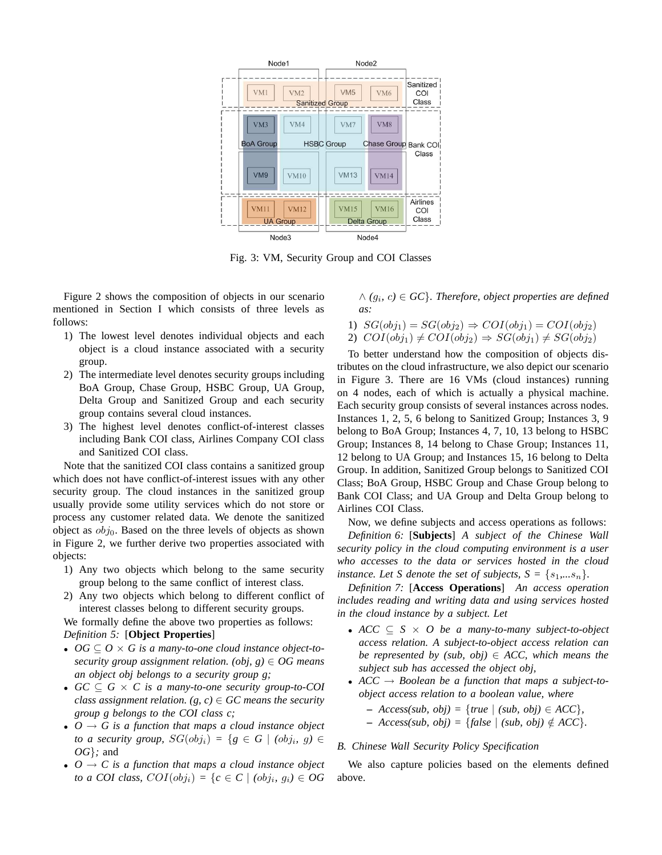

Fig. 3: VM, Security Group and COI Classes

Figure 2 shows the composition of objects in our scenario mentioned in Section I which consists of three levels as follows:

- 1) The lowest level denotes individual objects and each object is a cloud instance associated with a security group.
- 2) The intermediate level denotes security groups including BoA Group, Chase Group, HSBC Group, UA Group, Delta Group and Sanitized Group and each security group contains several cloud instances.
- 3) The highest level denotes conflict-of-interest classes including Bank COI class, Airlines Company COI class and Sanitized COI class.

Note that the sanitized COI class contains a sanitized group which does not have conflict-of-interest issues with any other security group. The cloud instances in the sanitized group usually provide some utility services which do not store or process any customer related data. We denote the sanitized object as  $obj_0$ . Based on the three levels of objects as shown in Figure 2, we further derive two properties associated with objects:

- 1) Any two objects which belong to the same security group belong to the same conflict of interest class.
- 2) Any two objects which belong to different conflict of interest classes belong to different security groups.

We formally define the above two properties as follows: *Definition 5:* [**Object Properties**]

- $OG \subseteq O \times G$  is a many-to-one cloud instance object-to*security group assignment relation. (obj, g)* ∈ *OG means an object obj belongs to a security group g;*
- *GC* ⊆ *G* × *C is a many-to-one security group-to-COI class assignment relation.* (*g, c*)  $\in$  *GC means the security group g belongs to the COI class c;*
- $O \rightarrow G$  *is a function that maps a cloud instance object to a security group,*  $SG(obj_i) = \{ g \in G \mid (obj_i, g) \in G \}$ *OG*}*;* and
- $O \rightarrow C$  *is a function that maps a cloud instance object to a COI class,*  $COI(obj_i) = \{c \in C \mid (obj_i, g_i) \in OG$

 $\land$   $(g_i, c) \in$  GC $\rbrace$ . Therefore, object properties are defined *as:*

1) 
$$
SG(obj_1) = SG(obj_2) \Rightarrow COI(obj_1) = COI(obj_2)
$$
  
2)  $COI(obj_1) \neq COI(obj_2) \Rightarrow SG(obj_1) \neq SG(obj_2)$ 

To better understand how the composition of objects distributes on the cloud infrastructure, we also depict our scenario in Figure 3. There are 16 VMs (cloud instances) running on 4 nodes, each of which is actually a physical machine. Each security group consists of several instances across nodes. Instances 1, 2, 5, 6 belong to Sanitized Group; Instances 3, 9 belong to BoA Group; Instances 4, 7, 10, 13 belong to HSBC Group; Instances 8, 14 belong to Chase Group; Instances 11, 12 belong to UA Group; and Instances 15, 16 belong to Delta Group. In addition, Sanitized Group belongs to Sanitized COI Class; BoA Group, HSBC Group and Chase Group belong to Bank COI Class; and UA Group and Delta Group belong to Airlines COI Class.

Now, we define subjects and access operations as follows:

*Definition 6:* [**Subjects**] *A subject of the Chinese Wall security policy in the cloud computing environment is a user who accesses to the data or services hosted in the cloud instance. Let S* denote the set of subjects,  $S = \{s_1, \ldots s_n\}$ .

*Definition 7:* [**Access Operations**] *An access operation includes reading and writing data and using services hosted in the cloud instance by a subject. Let*

- *ACC* ⊆ *S* × *O be a many-to-many subject-to-object access relation. A subject-to-object access relation can be represented by (sub, obj)*  $\in$  *ACC, which means the subject sub has accessed the object obj,*
- $ACC \rightarrow Boolean$  be a function that maps a subject-to*object access relation to a boolean value, where*
	- **–** *Access(sub, obj) =* {*true* | *(sub, obj)* ∈ *ACC*}*,*
	- $-$  *Access(sub, obj)* = {*false* | *(sub, obj)*  $\notin$  *ACC*}.

## *B. Chinese Wall Security Policy Specification*

We also capture policies based on the elements defined above.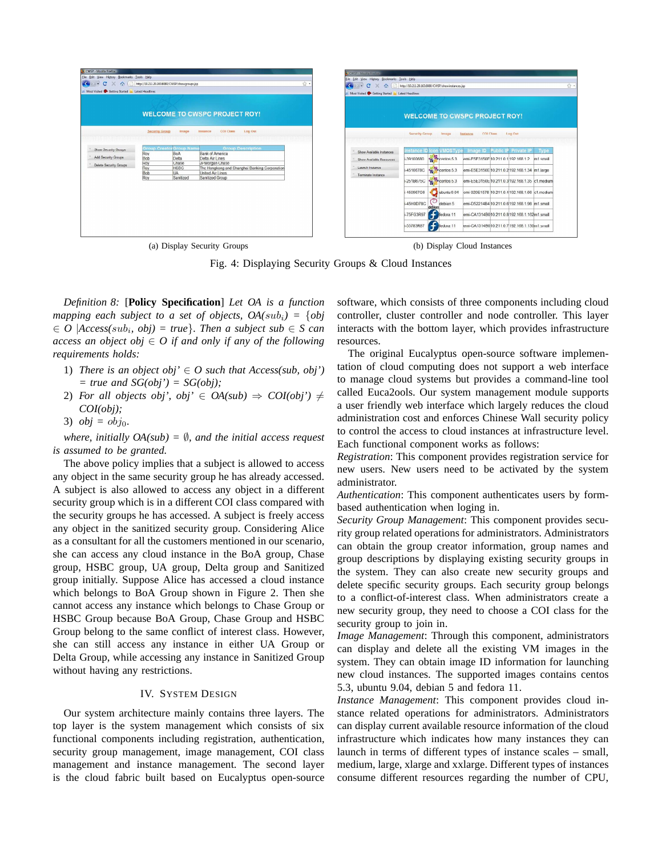| CWSP - Mozilla Firefox<br>File Edit View History Bookmarks Tools Help<br>$\hat{ }$<br>Most Visited Co Getting Started & Latest Headlines | http://10.211.20.163.8080/CWSP/showgroups.jsp                                                                                                                                                                                                                                                                                                                 |  | ☆ · | <b>D</b> CWSP - Mozilla Findow.<br>File Edit View History Bookmarks Tools Help<br>$\leftarrow$<br>$\cdot$ $\cdot$ $\alpha$<br>Most Visited Co Getting Started a Latest Headlines | http://10.211.20.163.8080/CWSP/showinstances.jsp                                                                                                                                                                                                                                                          |                                                                                                                                                                                                                                                                                                                                                                                                                                          | ☆ -  |
|------------------------------------------------------------------------------------------------------------------------------------------|---------------------------------------------------------------------------------------------------------------------------------------------------------------------------------------------------------------------------------------------------------------------------------------------------------------------------------------------------------------|--|-----|----------------------------------------------------------------------------------------------------------------------------------------------------------------------------------|-----------------------------------------------------------------------------------------------------------------------------------------------------------------------------------------------------------------------------------------------------------------------------------------------------------|------------------------------------------------------------------------------------------------------------------------------------------------------------------------------------------------------------------------------------------------------------------------------------------------------------------------------------------------------------------------------------------------------------------------------------------|------|
|                                                                                                                                          | <b>WELCOME TO CWSPC PROJECT ROY!</b><br>COI Class<br>Log Out<br>Image<br>Instance                                                                                                                                                                                                                                                                             |  |     | <b>WELCOME TO CWSPC PROJECT ROY!</b>                                                                                                                                             |                                                                                                                                                                                                                                                                                                           |                                                                                                                                                                                                                                                                                                                                                                                                                                          |      |
| <b>Show Security Groups</b><br>Add Security Groups<br>Delete Security Groups                                                             | <b>Security Group</b><br><b>Group Description</b><br><b>Group CreatorGroup Name</b><br><b>Bank of America</b><br>BoA<br>Roy<br>Bob<br>Delta<br>Delta Air Lines<br>Roy<br>Chase<br>JPMorgan Chase<br>The Hongkong and Shanghai Banking Corporation<br><b>HSBC</b><br>Roy<br>Bob<br><b>UA</b><br><b>United Air Lines</b><br>Roy<br>Sanitized<br>Sanitized Group |  |     | Show Available Instances<br>Show Available Resources<br>Launch Instance<br>Terminate Instance                                                                                    | <b>Security Group</b><br>Image<br>con VMOSType<br>nstance ID<br>$\leftrightarrow$ centos 5.3<br>-39100680<br>centos 5.3<br>i-4510678C<br>$\leftrightarrow$ centos 5.3<br>-251B675C<br>ubuntu 9.04<br>450967G6<br>-45H0D78C<br>debian 5<br>debian<br>-75FG3R97<br>fedora 11<br>-55783R87<br>æ<br>fedora 11 | <b>COI Class</b><br>Log Out<br>Instance<br>Image ID<br><b>Public IP Private IP</b><br>emi-E5E3150E 10.211.0.1 192.168.1.2 m1.small<br>emi-E5E3150E 10.211.0.2 192.168.1.34 m1.large<br>emi-E5E3150E 10.211.0.3 192.168.1.35 c1.medium<br>emi 020E1578 10.211.0.4 192.168.1.66 c1.medium<br>emi-D52214B4 10.211.0.6 192.168.1.98 m1.small<br>emi-CA1314B010.211.0.8 192.168.1.162m1.small<br>emi-CA1314B010.211.0.7 192.108.1.130m1.small | Type |

(a) Display Security Groups (b) Display Cloud Instances

Fig. 4: Displaying Security Groups & Cloud Instances

*Definition 8:* [**Policy Specification**] *Let OA is a function mapping each subject to a set of objects,*  $OA(sub_i) = \{obj$  $\in$  *O* |*Access(sub<sub>i</sub>, obj)* = *true*}*. Then a subject sub*  $\in$  *S can access an object obj* ∈ *O if and only if any of the following requirements holds:*

- 1) *There is an object obj'*  $\in$  *O such that Access(sub, obj')*  $= true$  and  $SG(obj') = SG(obj);$
- 2) *For all objects obj', obj'*  $\in OA(sub) \Rightarrow COI(obj') \neq$ *COI(obj);*
- 3)  $obj = obj_0$ .

*where, initially OA(sub) =* ∅*, and the initial access request is assumed to be granted.*

The above policy implies that a subject is allowed to access any object in the same security group he has already accessed. A subject is also allowed to access any object in a different security group which is in a different COI class compared with the security groups he has accessed. A subject is freely access any object in the sanitized security group. Considering Alice as a consultant for all the customers mentioned in our scenario, she can access any cloud instance in the BoA group, Chase group, HSBC group, UA group, Delta group and Sanitized group initially. Suppose Alice has accessed a cloud instance which belongs to BoA Group shown in Figure 2. Then she cannot access any instance which belongs to Chase Group or HSBC Group because BoA Group, Chase Group and HSBC Group belong to the same conflict of interest class. However, she can still access any instance in either UA Group or Delta Group, while accessing any instance in Sanitized Group without having any restrictions.

## IV. SYSTEM DESIGN

Our system architecture mainly contains three layers. The top layer is the system management which consists of six functional components including registration, authentication, security group management, image management, COI class management and instance management. The second layer is the cloud fabric built based on Eucalyptus open-source

software, which consists of three components including cloud controller, cluster controller and node controller. This layer interacts with the bottom layer, which provides infrastructure resources.

The original Eucalyptus open-source software implementation of cloud computing does not support a web interface to manage cloud systems but provides a command-line tool called Euca2ools. Our system management module supports a user friendly web interface which largely reduces the cloud administration cost and enforces Chinese Wall security policy to control the access to cloud instances at infrastructure level. Each functional component works as follows:

*Registration*: This component provides registration service for new users. New users need to be activated by the system administrator.

*Authentication*: This component authenticates users by formbased authentication when loging in.

*Security Group Management*: This component provides security group related operations for administrators. Administrators can obtain the group creator information, group names and group descriptions by displaying existing security groups in the system. They can also create new security groups and delete specific security groups. Each security group belongs to a conflict-of-interest class. When administrators create a new security group, they need to choose a COI class for the security group to join in.

*Image Management*: Through this component, administrators can display and delete all the existing VM images in the system. They can obtain image ID information for launching new cloud instances. The supported images contains centos 5.3, ubuntu 9.04, debian 5 and fedora 11.

*Instance Management*: This component provides cloud instance related operations for administrators. Administrators can display current available resource information of the cloud infrastructure which indicates how many instances they can launch in terms of different types of instance scales – small, medium, large, xlarge and xxlarge. Different types of instances consume different resources regarding the number of CPU,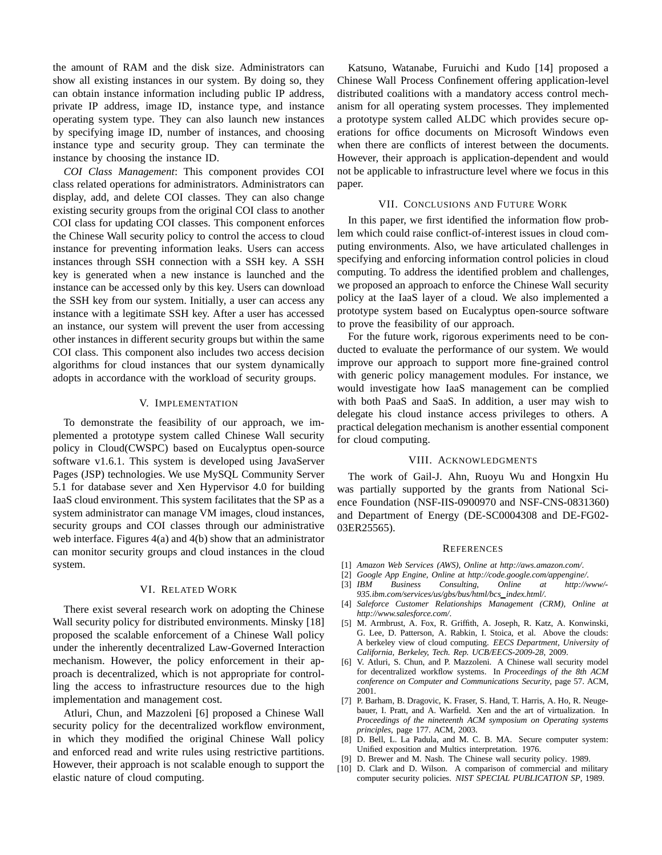the amount of RAM and the disk size. Administrators can show all existing instances in our system. By doing so, they can obtain instance information including public IP address, private IP address, image ID, instance type, and instance operating system type. They can also launch new instances by specifying image ID, number of instances, and choosing instance type and security group. They can terminate the instance by choosing the instance ID.

*COI Class Management*: This component provides COI class related operations for administrators. Administrators can display, add, and delete COI classes. They can also change existing security groups from the original COI class to another COI class for updating COI classes. This component enforces the Chinese Wall security policy to control the access to cloud instance for preventing information leaks. Users can access instances through SSH connection with a SSH key. A SSH key is generated when a new instance is launched and the instance can be accessed only by this key. Users can download the SSH key from our system. Initially, a user can access any instance with a legitimate SSH key. After a user has accessed an instance, our system will prevent the user from accessing other instances in different security groups but within the same COI class. This component also includes two access decision algorithms for cloud instances that our system dynamically adopts in accordance with the workload of security groups.

#### V. IMPLEMENTATION

To demonstrate the feasibility of our approach, we implemented a prototype system called Chinese Wall security policy in Cloud(CWSPC) based on Eucalyptus open-source software v1.6.1. This system is developed using JavaServer Pages (JSP) technologies. We use MySQL Community Server 5.1 for database sever and Xen Hypervisor 4.0 for building IaaS cloud environment. This system facilitates that the SP as a system administrator can manage VM images, cloud instances, security groups and COI classes through our administrative web interface. Figures 4(a) and 4(b) show that an administrator can monitor security groups and cloud instances in the cloud system.

### VI. RELATED WORK

There exist several research work on adopting the Chinese Wall security policy for distributed environments. Minsky [18] proposed the scalable enforcement of a Chinese Wall policy under the inherently decentralized Law-Governed Interaction mechanism. However, the policy enforcement in their approach is decentralized, which is not appropriate for controlling the access to infrastructure resources due to the high implementation and management cost.

Atluri, Chun, and Mazzoleni [6] proposed a Chinese Wall security policy for the decentralized workflow environment, in which they modified the original Chinese Wall policy and enforced read and write rules using restrictive partitions. However, their approach is not scalable enough to support the elastic nature of cloud computing.

Katsuno, Watanabe, Furuichi and Kudo [14] proposed a Chinese Wall Process Confinement offering application-level distributed coalitions with a mandatory access control mechanism for all operating system processes. They implemented a prototype system called ALDC which provides secure operations for office documents on Microsoft Windows even when there are conflicts of interest between the documents. However, their approach is application-dependent and would not be applicable to infrastructure level where we focus in this paper.

## VII. CONCLUSIONS AND FUTURE WORK

In this paper, we first identified the information flow problem which could raise conflict-of-interest issues in cloud computing environments. Also, we have articulated challenges in specifying and enforcing information control policies in cloud computing. To address the identified problem and challenges, we proposed an approach to enforce the Chinese Wall security policy at the IaaS layer of a cloud. We also implemented a prototype system based on Eucalyptus open-source software to prove the feasibility of our approach.

For the future work, rigorous experiments need to be conducted to evaluate the performance of our system. We would improve our approach to support more fine-grained control with generic policy management modules. For instance, we would investigate how IaaS management can be complied with both PaaS and SaaS. In addition, a user may wish to delegate his cloud instance access privileges to others. A practical delegation mechanism is another essential component for cloud computing.

## VIII. ACKNOWLEDGMENTS

The work of Gail-J. Ahn, Ruoyu Wu and Hongxin Hu was partially supported by the grants from National Science Foundation (NSF-IIS-0900970 and NSF-CNS-0831360) and Department of Energy (DE-SC0004308 and DE-FG02- 03ER25565).

## **REFERENCES**

- [1] *Amazon Web Services (AWS), Online at http://aws.amazon.com/*.
- [2] *Google App Engine, Online at http://code.google.com/appengine/*.
- [3] *IBM Business Consulting, Online at http://www/- 935.ibm.com/services/us/gbs/bus/html/bcs index.html/*.
- [4] *Saleforce Customer Relationships Management (CRM), Online at http://www.salesforce.com/*.
- [5] M. Armbrust, A. Fox, R. Griffith, A. Joseph, R. Katz, A. Konwinski, G. Lee, D. Patterson, A. Rabkin, I. Stoica, et al. Above the clouds: A berkeley view of cloud computing. *EECS Department, University of California, Berkeley, Tech. Rep. UCB/EECS-2009-28*, 2009.
- [6] V. Atluri, S. Chun, and P. Mazzoleni. A Chinese wall security model for decentralized workflow systems. In *Proceedings of the 8th ACM conference on Computer and Communications Security*, page 57. ACM, 2001.
- [7] P. Barham, B. Dragovic, K. Fraser, S. Hand, T. Harris, A. Ho, R. Neugebauer, I. Pratt, and A. Warfield. Xen and the art of virtualization. In *Proceedings of the nineteenth ACM symposium on Operating systems principles*, page 177. ACM, 2003.
- [8] D. Bell, L. La Padula, and M. C. B. MA. Secure computer system: Unified exposition and Multics interpretation. 1976.
- [9] D. Brewer and M. Nash. The Chinese wall security policy. 1989.
- [10] D. Clark and D. Wilson. A comparison of commercial and military computer security policies. *NIST SPECIAL PUBLICATION SP*, 1989.